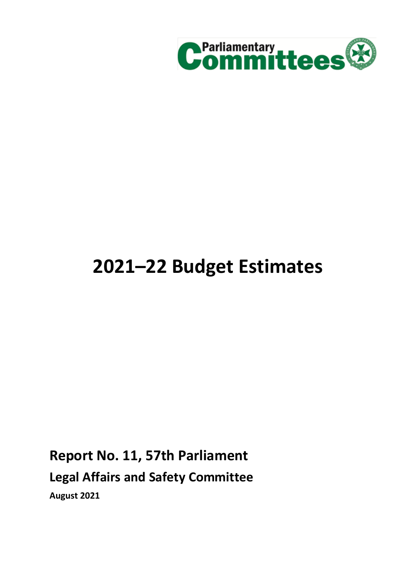

# **2021–22 Budget Estimates**

## **Report No. 11, 57th Parliament**

**Legal Affairs and Safety Committee**

**August 2021**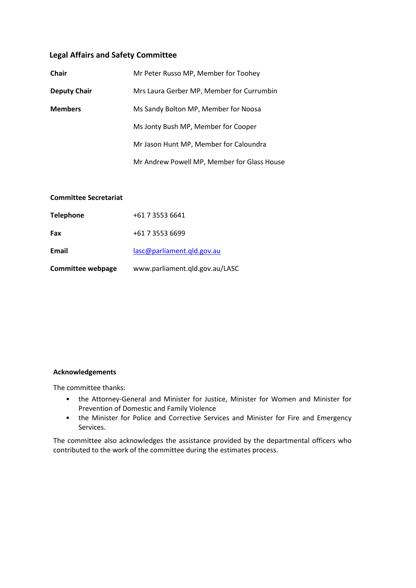### **Legal Affairs and Safety Committee**

| <b>Chair</b>        | Mr Peter Russo MP, Member for Toohey        |
|---------------------|---------------------------------------------|
| <b>Deputy Chair</b> | Mrs Laura Gerber MP, Member for Currumbin   |
| <b>Members</b>      | Ms Sandy Bolton MP, Member for Noosa        |
|                     | Ms Jonty Bush MP, Member for Cooper         |
|                     | Mr Jason Hunt MP, Member for Caloundra      |
|                     | Mr Andrew Powell MP, Member for Glass House |

### **Committee Secretariat**

| <b>Telephone</b>         | +61 7 3553 6641                |
|--------------------------|--------------------------------|
| Fax                      | +61 7 3553 6699                |
| Email                    | lasc@parliament.gld.gov.au     |
| <b>Committee webpage</b> | www.parliament.qld.gov.au/LASC |

#### **Acknowledgements**

The committee thanks:

- the Attorney-General and Minister for Justice, Minister for Women and Minister for Prevention of Domestic and Family Violence
- the Minister for Police and Corrective Services and Minister for Fire and Emergency Services.

The committee also acknowledges the assistance provided by the departmental officers who contributed to the work of the committee during the estimates process.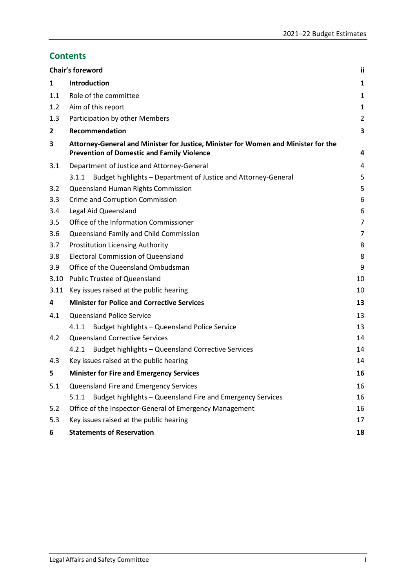### **Contents**

|              | Chair's foreword                                                                                                                        | ii             |
|--------------|-----------------------------------------------------------------------------------------------------------------------------------------|----------------|
| 1            | <b>Introduction</b>                                                                                                                     | 1              |
| 1.1          | Role of the committee                                                                                                                   | 1              |
| 1.2          | Aim of this report                                                                                                                      | 1              |
| 1.3          | Participation by other Members                                                                                                          | $\overline{2}$ |
| $\mathbf{2}$ | Recommendation                                                                                                                          | 3              |
| 3            | Attorney-General and Minister for Justice, Minister for Women and Minister for the<br><b>Prevention of Domestic and Family Violence</b> | 4              |
| 3.1          | Department of Justice and Attorney-General                                                                                              | 4              |
|              | Budget highlights - Department of Justice and Attorney-General<br>3.1.1                                                                 | 5              |
| 3.2          | Queensland Human Rights Commission                                                                                                      | 5              |
| 3.3          | Crime and Corruption Commission                                                                                                         | 6              |
| 3.4          | Legal Aid Queensland                                                                                                                    | 6              |
| 3.5          | Office of the Information Commissioner                                                                                                  | $\overline{7}$ |
| 3.6          | Queensland Family and Child Commission                                                                                                  | 7              |
| 3.7          | <b>Prostitution Licensing Authority</b>                                                                                                 | 8              |
| 3.8          | <b>Electoral Commission of Queensland</b>                                                                                               | 8              |
| 3.9          | Office of the Queensland Ombudsman                                                                                                      | 9              |
| 3.10         | <b>Public Trustee of Queensland</b>                                                                                                     | 10             |
| 3.11         | Key issues raised at the public hearing                                                                                                 | 10             |
| 4            | <b>Minister for Police and Corrective Services</b>                                                                                      | 13             |
| 4.1          | <b>Queensland Police Service</b>                                                                                                        | 13             |
|              | Budget highlights - Queensland Police Service<br>4.1.1                                                                                  | 13             |
| 4.2          | <b>Queensland Corrective Services</b>                                                                                                   | 14             |
|              | Budget highlights - Queensland Corrective Services<br>4.2.1                                                                             | 14             |
| 4.3          | Key issues raised at the public hearing                                                                                                 | 14             |
| 5            | <b>Minister for Fire and Emergency Services</b>                                                                                         | 16             |
| 5.1          | Queensland Fire and Emergency Services                                                                                                  | 16             |
|              | Budget highlights - Queensland Fire and Emergency Services<br>5.1.1                                                                     | 16             |
| 5.2          | Office of the Inspector-General of Emergency Management                                                                                 | 16             |
| 5.3          | Key issues raised at the public hearing                                                                                                 | 17             |
| 6            | <b>Statements of Reservation</b>                                                                                                        | 18             |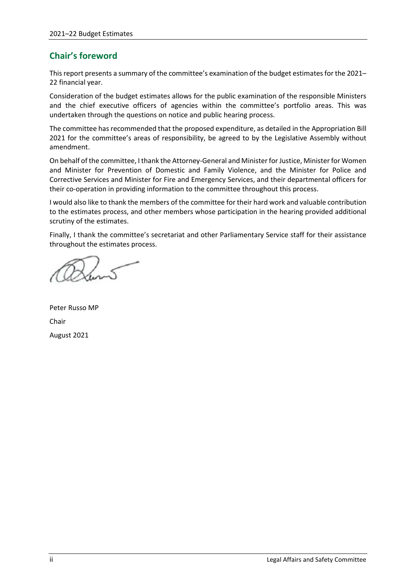### <span id="page-3-0"></span>**Chair's foreword**

This report presents a summary of the committee's examination of the budget estimates for the 2021– 22 financial year.

Consideration of the budget estimates allows for the public examination of the responsible Ministers and the chief executive officers of agencies within the committee's portfolio areas. This was undertaken through the questions on notice and public hearing process.

The committee has recommended that the proposed expenditure, as detailed in the Appropriation Bill 2021 for the committee's areas of responsibility, be agreed to by the Legislative Assembly without amendment.

On behalf of the committee, I thank the Attorney-General and Minister for Justice, Minister for Women and Minister for Prevention of Domestic and Family Violence, and the Minister for Police and Corrective Services and Minister for Fire and Emergency Services, and their departmental officers for their co-operation in providing information to the committee throughout this process.

I would also like to thank the members of the committee for their hard work and valuable contribution to the estimates process, and other members whose participation in the hearing provided additional scrutiny of the estimates.

Finally, I thank the committee's secretariat and other Parliamentary Service staff for their assistance throughout the estimates process.

Peter Russo MP Chair August 2021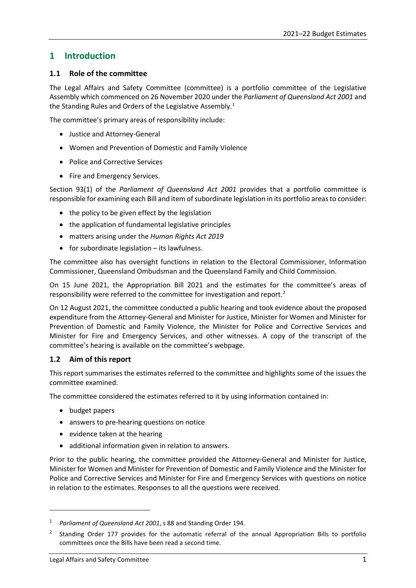### <span id="page-4-0"></span>**1 Introduction**

### <span id="page-4-1"></span>**1.1 Role of the committee**

The Legal Affairs and Safety Committee (committee) is a portfolio committee of the Legislative Assembly which commenced on 26 November 2020 under the *Parliament of Queensland Act 2001* and the Standing Rules and Orders of the Legislative Assembly.<sup>[1](#page-4-3)</sup>

The committee's primary areas of responsibility include:

- Justice and Attorney-General
- Women and Prevention of Domestic and Family Violence
- Police and Corrective Services
- Fire and Emergency Services.

Section 93(1) of the *Parliament of Queensland Act 2001* provides that a portfolio committee is responsible for examining each Bill and item of subordinate legislation in its portfolio areas to consider:

- the policy to be given effect by the legislation
- the application of fundamental legislative principles
- matters arising under the *Human Rights Act 2019*
- for subordinate legislation its lawfulness.

The committee also has oversight functions in relation to the Electoral Commissioner, Information Commissioner, Queensland Ombudsman and the Queensland Family and Child Commission.

On 15 June 2021, the Appropriation Bill 2021 and the estimates for the committee's areas of responsibility were referred to the committee for investigation and report.[2](#page-4-4)

On 12 August 2021, the committee conducted a public hearing and took evidence about the proposed expenditure from the Attorney-General and Minister for Justice, Minister for Women and Minister for Prevention of Domestic and Family Violence, the Minister for Police and Corrective Services and Minister for Fire and Emergency Services, and other witnesses. A copy of the transcript of the committee's hearing is available on the committee's webpage.

### <span id="page-4-2"></span>**1.2 Aim of this report**

This report summarises the estimates referred to the committee and highlights some of the issues the committee examined.

The committee considered the estimates referred to it by using information contained in:

• budget papers

**.** 

- answers to pre-hearing questions on notice
- evidence taken at the hearing
- additional information given in relation to answers.

Prior to the public hearing, the committee provided the Attorney-General and Minister for Justice, Minister for Women and Minister for Prevention of Domestic and Family Violence and the Minister for Police and Corrective Services and Minister for Fire and Emergency Services with questions on notice in relation to the estimates. Responses to all the questions were received.

<span id="page-4-3"></span><sup>1</sup> *Parliament of Queensland Act 2001*, s 88 and Standing Order 194.

<span id="page-4-4"></span><sup>2</sup> Standing Order 177 provides for the automatic referral of the annual Appropriation Bills to portfolio committees once the Bills have been read a second time.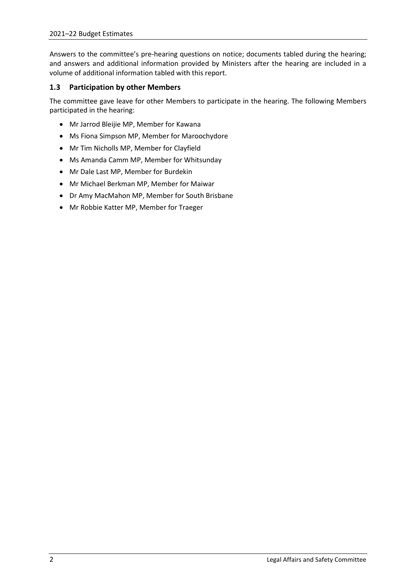Answers to the committee's pre-hearing questions on notice; documents tabled during the hearing; and answers and additional information provided by Ministers after the hearing are included in a volume of additional information tabled with this report.

### <span id="page-5-0"></span>**1.3 Participation by other Members**

The committee gave leave for other Members to participate in the hearing. The following Members participated in the hearing:

- Mr Jarrod Bleijie MP, Member for Kawana
- Ms Fiona Simpson MP, Member for Maroochydore
- Mr Tim Nicholls MP, Member for Clayfield
- Ms Amanda Camm MP, Member for Whitsunday
- Mr Dale Last MP, Member for Burdekin
- Mr Michael Berkman MP, Member for Maiwar
- Dr Amy MacMahon MP, Member for South Brisbane
- Mr Robbie Katter MP, Member for Traeger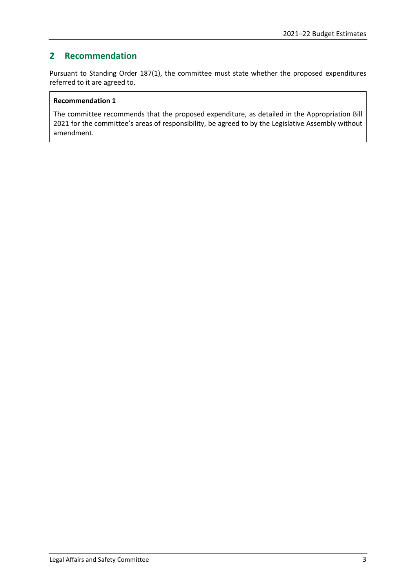### <span id="page-6-0"></span>**2 Recommendation**

Pursuant to Standing Order 187(1), the committee must state whether the proposed expenditures referred to it are agreed to.

### **Recommendation 1**

The committee recommends that the proposed expenditure, as detailed in the Appropriation Bill 2021 for the committee's areas of responsibility, be agreed to by the Legislative Assembly without amendment.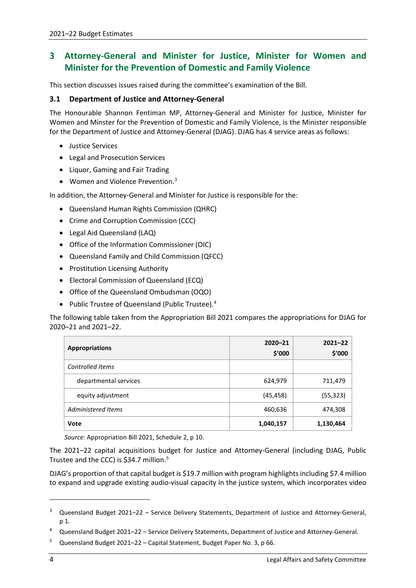### <span id="page-7-0"></span>**3 Attorney-General and Minister for Justice, Minister for Women and Minister for the Prevention of Domestic and Family Violence**

This section discusses issues raised during the committee's examination of the Bill.

### <span id="page-7-1"></span>**3.1 Department of Justice and Attorney-General**

The Honourable Shannon Fentiman MP, Attorney-General and Minister for Justice, Minister for Women and Minster for the Prevention of Domestic and Family Violence, is the Minister responsible for the Department of Justice and Attorney-General (DJAG). DJAG has 4 service areas as follows:

- Justice Services
- Legal and Prosecution Services
- Liquor, Gaming and Fair Trading
- Women and Violence Prevention.<sup>[3](#page-7-2)</sup>

In addition, the Attorney-General and Minister for Justice is responsible for the:

- Queensland Human Rights Commission (QHRC)
- Crime and Corruption Commission (CCC)
- Legal Aid Queensland (LAQ)
- Office of the Information Commissioner (OIC)
- Queensland Family and Child Commission (QFCC)
- Prostitution Licensing Authority
- Electoral Commission of Queensland (ECQ)
- Office of the Queensland Ombudsman (OQO)
- Public Trustee of Queensland (Public Trustee).<sup>[4](#page-7-3)</sup>

The following table taken from the Appropriation Bill 2021 compares the appropriations for DJAG for 2020–21 and 2021–22.

| <b>Appropriations</b> | $2020 - 21$<br>\$'000 | $2021 - 22$<br>\$'000 |
|-----------------------|-----------------------|-----------------------|
| Controlled Items      |                       |                       |
| departmental services | 624,979               | 711,479               |
| equity adjustment     | (45, 458)             | (55, 323)             |
| Administered Items    | 460,636               | 474,308               |
| Vote                  | 1,040,157             | 1,130,464             |

*Source*: Appropriation Bill 2021, Schedule 2, p 10.

The 2021–22 capital acquisitions budget for Justice and Attorney-General (including DJAG, Public Trustee and the CCC) is \$34.7 million.<sup>[5](#page-7-4)</sup>

DJAG's proportion of that capital budget is \$19.7 million with program highlights including \$7.4 million to expand and upgrade existing audio-visual capacity in the justice system, which incorporates video

<span id="page-7-2"></span><sup>3</sup> Queensland Budget 2021–22 – Service Delivery Statements, Department of Justice and Attorney-General, p 1.

<span id="page-7-3"></span><sup>4</sup> Queensland Budget 2021–22 – Service Delivery Statements, Department of Justice and Attorney-General.

<span id="page-7-4"></span><sup>5</sup> Queensland Budget 2021–22 – Capital Statement, Budget Paper No. 3, p 66.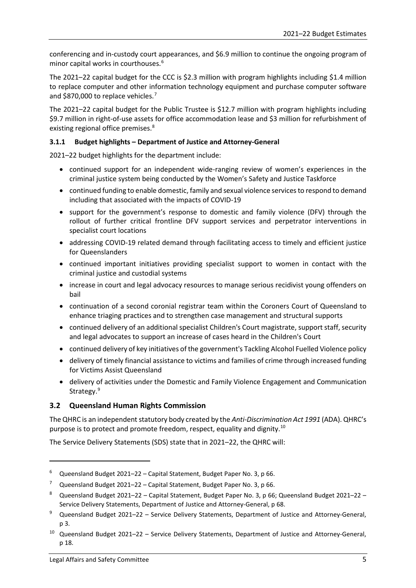conferencing and in-custody court appearances, and \$6.9 million to continue the ongoing program of minor capital works in courthouses.[6](#page-8-2)

The 2021–22 capital budget for the CCC is \$2.3 million with program highlights including \$1.4 million to replace computer and other information technology equipment and purchase computer software and \$8[7](#page-8-3)0,000 to replace vehicles.<sup>7</sup>

The 2021–22 capital budget for the Public Trustee is \$12.7 million with program highlights including \$9.7 million in right-of-use assets for office accommodation lease and \$3 million for refurbishment of existing regional office premises.<sup>[8](#page-8-4)</sup>

### <span id="page-8-0"></span>**3.1.1 Budget highlights – Department of Justice and Attorney-General**

2021–22 budget highlights for the department include:

- continued support for an independent wide-ranging review of women's experiences in the criminal justice system being conducted by the Women's Safety and Justice Taskforce
- continued funding to enable domestic, family and sexual violence services to respond to demand including that associated with the impacts of COVID-19
- support for the government's response to domestic and family violence (DFV) through the rollout of further critical frontline DFV support services and perpetrator interventions in specialist court locations
- addressing COVID-19 related demand through facilitating access to timely and efficient justice for Queenslanders
- continued important initiatives providing specialist support to women in contact with the criminal justice and custodial systems
- increase in court and legal advocacy resources to manage serious recidivist young offenders on bail
- continuation of a second coronial registrar team within the Coroners Court of Queensland to enhance triaging practices and to strengthen case management and structural supports
- continued delivery of an additional specialist Children's Court magistrate, support staff, security and legal advocates to support an increase of cases heard in the Children's Court
- continued delivery of key initiatives of the government's Tackling Alcohol Fuelled Violence policy
- delivery of timely financial assistance to victims and families of crime through increased funding for Victims Assist Queensland
- delivery of activities under the Domestic and Family Violence Engagement and Communication Strategy.<sup>[9](#page-8-5)</sup>

### <span id="page-8-1"></span>**3.2 Queensland Human Rights Commission**

The QHRC is an independent statutory body created by the *Anti-Discrimination Act 1991* (ADA). QHRC's purpose is to protect and promote freedom, respect, equality and dignity.[10](#page-8-6)

The Service Delivery Statements (SDS) state that in 2021–22, the QHRC will:

<span id="page-8-2"></span> $6$  Queensland Budget 2021–22 – Capital Statement, Budget Paper No. 3, p 66.

<span id="page-8-3"></span><sup>&</sup>lt;sup>7</sup> Queensland Budget 2021–22 – Capital Statement, Budget Paper No. 3, p 66.

<span id="page-8-4"></span><sup>8</sup> Queensland Budget 2021–22 – Capital Statement, Budget Paper No. 3, p 66; Queensland Budget 2021–22 – Service Delivery Statements, Department of Justice and Attorney-General, p 68.

<span id="page-8-5"></span>Queensland Budget 2021-22 - Service Delivery Statements, Department of Justice and Attorney-General, p 3.

<span id="page-8-6"></span><sup>10</sup> Queensland Budget 2021–22 – Service Delivery Statements, Department of Justice and Attorney-General, p 18.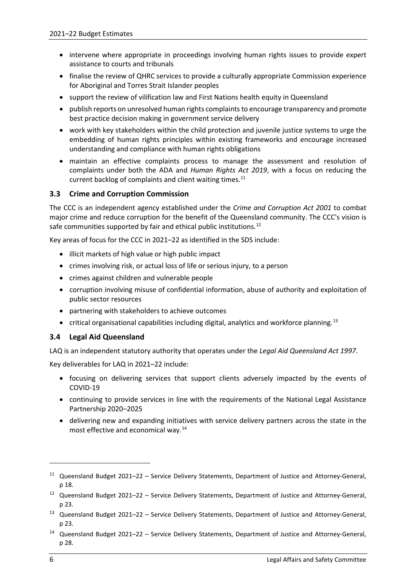- intervene where appropriate in proceedings involving human rights issues to provide expert assistance to courts and tribunals
- finalise the review of QHRC services to provide a culturally appropriate Commission experience for Aboriginal and Torres Strait Islander peoples
- support the review of vilification law and First Nations health equity in Queensland
- publish reports on unresolved human rights complaints to encourage transparency and promote best practice decision making in government service delivery
- work with key stakeholders within the child protection and juvenile justice systems to urge the embedding of human rights principles within existing frameworks and encourage increased understanding and compliance with human rights obligations
- maintain an effective complaints process to manage the assessment and resolution of complaints under both the ADA and *Human Rights Act 2019*, with a focus on reducing the current backlog of complaints and client waiting times.<sup>[11](#page-9-2)</sup>

### <span id="page-9-0"></span>**3.3 Crime and Corruption Commission**

The CCC is an independent agency established under the *Crime and Corruption Act 2001* to combat major crime and reduce corruption for the benefit of the Queensland community. The CCC's vision is safe communities supported by fair and ethical public institutions.<sup>[12](#page-9-3)</sup>

Key areas of focus for the CCC in 2021–22 as identified in the SDS include:

- illicit markets of high value or high public impact
- crimes involving risk, or actual loss of life or serious injury, to a person
- crimes against children and vulnerable people
- corruption involving misuse of confidential information, abuse of authority and exploitation of public sector resources
- partnering with stakeholders to achieve outcomes
- critical organisational capabilities including digital, analytics and workforce planning.<sup>[13](#page-9-4)</sup>

### <span id="page-9-1"></span>**3.4 Legal Aid Queensland**

LAQ is an independent statutory authority that operates under the *Legal Aid Queensland Act 1997*.

Key deliverables for LAQ in 2021–22 include:

- focusing on delivering services that support clients adversely impacted by the events of COVID-19
- continuing to provide services in line with the requirements of the National Legal Assistance Partnership 2020–2025
- delivering new and expanding initiatives with service delivery partners across the state in the most effective and economical way.[14](#page-9-5)

1

<span id="page-9-2"></span><sup>&</sup>lt;sup>11</sup> Queensland Budget 2021–22 – Service Delivery Statements, Department of Justice and Attorney-General, p 18.

<span id="page-9-3"></span><sup>12</sup> Queensland Budget 2021–22 – Service Delivery Statements, Department of Justice and Attorney-General, p 23.

<span id="page-9-4"></span><sup>&</sup>lt;sup>13</sup> Queensland Budget 2021–22 – Service Delivery Statements, Department of Justice and Attorney-General, p 23.

<span id="page-9-5"></span><sup>14</sup> Queensland Budget 2021–22 – Service Delivery Statements, Department of Justice and Attorney-General, p 28.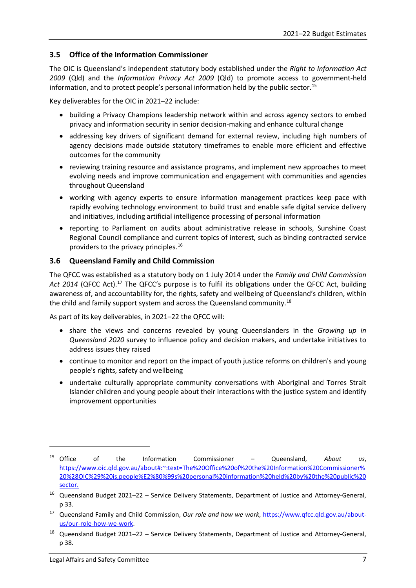### <span id="page-10-0"></span>**3.5 Office of the Information Commissioner**

The OIC is Queensland's independent statutory body established under the *Right to Information Act 2009* (Qld) and the *Information Privacy Act 2009* (Qld) to promote access to government-held information, and to protect people's personal information held by the public sector.[15](#page-10-2)

Key deliverables for the OIC in 2021–22 include:

- building a Privacy Champions leadership network within and across agency sectors to embed privacy and information security in senior decision-making and enhance cultural change
- addressing key drivers of significant demand for external review, including high numbers of agency decisions made outside statutory timeframes to enable more efficient and effective outcomes for the community
- reviewing training resource and assistance programs, and implement new approaches to meet evolving needs and improve communication and engagement with communities and agencies throughout Queensland
- working with agency experts to ensure information management practices keep pace with rapidly evolving technology environment to build trust and enable safe digital service delivery and initiatives, including artificial intelligence processing of personal information
- reporting to Parliament on audits about administrative release in schools, Sunshine Coast Regional Council compliance and current topics of interest, such as binding contracted service providers to the privacy principles.<sup>[16](#page-10-3)</sup>

### <span id="page-10-1"></span>**3.6 Queensland Family and Child Commission**

The QFCC was established as a statutory body on 1 July 2014 under the *Family and Child Commission*  Act 2014 (QFCC Act).<sup>[17](#page-10-4)</sup> The QFCC's purpose is to fulfil its obligations under the QFCC Act, building awareness of, and accountability for, the rights, safety and wellbeing of Queensland's children, within the child and family support system and across the Queensland community.<sup>[18](#page-10-5)</sup>

As part of its key deliverables, in 2021–22 the QFCC will:

- share the views and concerns revealed by young Queenslanders in the *Growing up in Queensland 2020* survey to influence policy and decision makers, and undertake initiatives to address issues they raised
- continue to monitor and report on the impact of youth justice reforms on children's and young people's rights, safety and wellbeing
- undertake culturally appropriate community conversations with Aboriginal and Torres Strait Islander children and young people about their interactions with the justice system and identify improvement opportunities

1

<span id="page-10-2"></span><sup>15</sup> Office of the Information Commissioner – Queensland, *About us*, [https://www.oic.qld.gov.au/about#:~:text=The%20Office%20of%20the%20Information%20Commissioner%](https://www.oic.qld.gov.au/about#:%7E:text=The%20Office%20of%20the%20Information%20Commissioner%20%28OIC%29%20is,people%E2%80%99s%20personal%20information%20held%20by%20the%20public%20sector.) [20%28OIC%29%20is,people%E2%80%99s%20personal%20information%20held%20by%20the%20public%20](https://www.oic.qld.gov.au/about#:%7E:text=The%20Office%20of%20the%20Information%20Commissioner%20%28OIC%29%20is,people%E2%80%99s%20personal%20information%20held%20by%20the%20public%20sector.) [sector.](https://www.oic.qld.gov.au/about#:%7E:text=The%20Office%20of%20the%20Information%20Commissioner%20%28OIC%29%20is,people%E2%80%99s%20personal%20information%20held%20by%20the%20public%20sector.)

<span id="page-10-3"></span><sup>16</sup> Queensland Budget 2021–22 – Service Delivery Statements, Department of Justice and Attorney-General, p 33.

<span id="page-10-4"></span><sup>&</sup>lt;sup>17</sup> Queensland Family and Child Commission, *Our role and how we work*, [https://www.qfcc.qld.gov.au/about](https://www.qfcc.qld.gov.au/about-us/our-role-how-we-work)[us/our-role-how-we-work.](https://www.qfcc.qld.gov.au/about-us/our-role-how-we-work)

<span id="page-10-5"></span><sup>18</sup> Queensland Budget 2021–22 – Service Delivery Statements, Department of Justice and Attorney-General, p 38.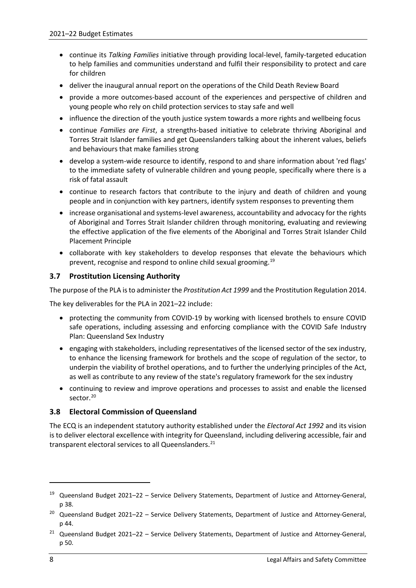- continue its *Talking Families* initiative through providing local-level, family-targeted education to help families and communities understand and fulfil their responsibility to protect and care for children
- deliver the inaugural annual report on the operations of the Child Death Review Board
- provide a more outcomes-based account of the experiences and perspective of children and young people who rely on child protection services to stay safe and well
- influence the direction of the youth justice system towards a more rights and wellbeing focus
- continue *Families are First*, a strengths-based initiative to celebrate thriving Aboriginal and Torres Strait Islander families and get Queenslanders talking about the inherent values, beliefs and behaviours that make families strong
- develop a system-wide resource to identify, respond to and share information about 'red flags' to the immediate safety of vulnerable children and young people, specifically where there is a risk of fatal assault
- continue to research factors that contribute to the injury and death of children and young people and in conjunction with key partners, identify system responses to preventing them
- increase organisational and systems-level awareness, accountability and advocacy for the rights of Aboriginal and Torres Strait Islander children through monitoring, evaluating and reviewing the effective application of the five elements of the Aboriginal and Torres Strait Islander Child Placement Principle
- collaborate with key stakeholders to develop responses that elevate the behaviours which prevent, recognise and respond to online child sexual grooming. [19](#page-11-2)

### <span id="page-11-0"></span>**3.7 Prostitution Licensing Authority**

The purpose of the PLA is to administer the *Prostitution Act 1999* and the Prostitution Regulation 2014.

The key deliverables for the PLA in 2021–22 include:

- protecting the community from COVID-19 by working with licensed brothels to ensure COVID safe operations, including assessing and enforcing compliance with the COVID Safe Industry Plan: Queensland Sex Industry
- engaging with stakeholders, including representatives of the licensed sector of the sex industry, to enhance the licensing framework for brothels and the scope of regulation of the sector, to underpin the viability of brothel operations, and to further the underlying principles of the Act, as well as contribute to any review of the state's regulatory framework for the sex industry
- continuing to review and improve operations and processes to assist and enable the licensed sector.<sup>20</sup>

### <span id="page-11-1"></span>**3.8 Electoral Commission of Queensland**

The ECQ is an independent statutory authority established under the *Electoral Act 1992* and its vision is to deliver electoral excellence with integrity for Queensland, including delivering accessible, fair and transparent electoral services to all Queenslanders.<sup>[21](#page-11-4)</sup>

<span id="page-11-2"></span><sup>19</sup> Queensland Budget 2021–22 – Service Delivery Statements, Department of Justice and Attorney-General, p 38.

<span id="page-11-3"></span><sup>&</sup>lt;sup>20</sup> Queensland Budget 2021–22 – Service Delivery Statements, Department of Justice and Attorney-General, p 44.

<span id="page-11-4"></span><sup>&</sup>lt;sup>21</sup> Queensland Budget 2021–22 – Service Delivery Statements, Department of Justice and Attorney-General, p 50.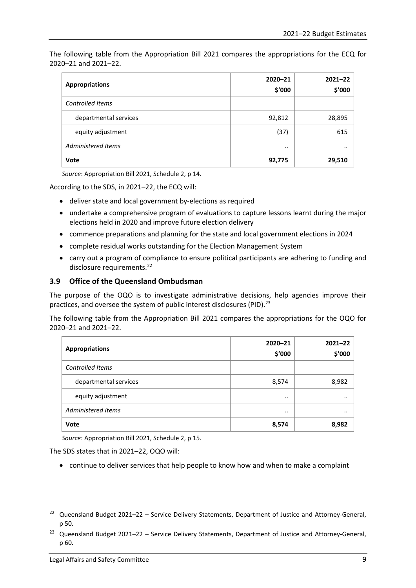The following table from the Appropriation Bill 2021 compares the appropriations for the ECQ for 2020–21 and 2021–22.

| <b>Appropriations</b>   | $2020 - 21$<br>\$'000 | $2021 - 22$<br>\$'000 |
|-------------------------|-----------------------|-----------------------|
| <b>Controlled Items</b> |                       |                       |
| departmental services   | 92,812                | 28,895                |
| equity adjustment       | (37)                  | 615                   |
| Administered Items      | $\cdot \cdot$         | $\cdot$ .             |
| Vote                    | 92,775                | 29,510                |

*Source*: Appropriation Bill 2021, Schedule 2, p 14.

According to the SDS, in 2021–22, the ECQ will:

- deliver state and local government by-elections as required
- undertake a comprehensive program of evaluations to capture lessons learnt during the major elections held in 2020 and improve future election delivery
- commence preparations and planning for the state and local government elections in 2024
- complete residual works outstanding for the Election Management System
- carry out a program of compliance to ensure political participants are adhering to funding and disclosure requirements.<sup>[22](#page-12-1)</sup>

### <span id="page-12-0"></span>**3.9 Office of the Queensland Ombudsman**

The purpose of the OQO is to investigate administrative decisions, help agencies improve their practices, and oversee the system of public interest disclosures (PID).<sup>[23](#page-12-2)</sup>

The following table from the Appropriation Bill 2021 compares the appropriations for the OQO for 2020–21 and 2021–22.

| <b>Appropriations</b> | $2020 - 21$<br>\$'000 | $2021 - 22$<br>\$'000 |
|-----------------------|-----------------------|-----------------------|
| Controlled Items      |                       |                       |
| departmental services | 8,574                 | 8,982                 |
| equity adjustment     | $\cdot \cdot$         | $\cdot$               |
| Administered Items    | $\cdot \cdot$         | $\cdot$               |
| <b>Vote</b>           | 8,574                 | 8,982                 |

*Source*: Appropriation Bill 2021, Schedule 2, p 15.

The SDS states that in 2021–22, OQO will:

• continue to deliver services that help people to know how and when to make a complaint

<span id="page-12-1"></span><sup>&</sup>lt;sup>22</sup> Queensland Budget 2021–22 – Service Delivery Statements, Department of Justice and Attorney-General, p 50.

<span id="page-12-2"></span><sup>&</sup>lt;sup>23</sup> Queensland Budget 2021–22 – Service Delivery Statements, Department of Justice and Attorney-General, p 60.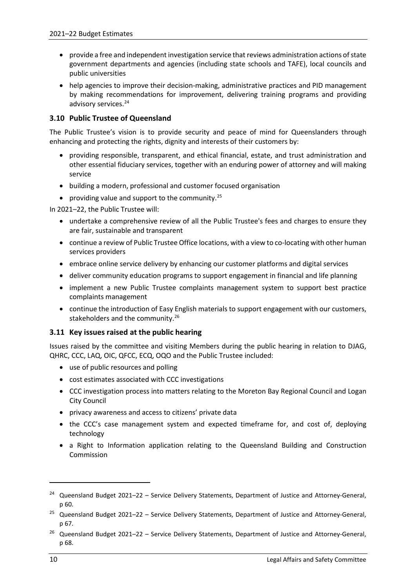- provide a free and independent investigation service that reviews administration actions of state government departments and agencies (including state schools and TAFE), local councils and public universities
- help agencies to improve their decision-making, administrative practices and PID management by making recommendations for improvement, delivering training programs and providing advisory services.<sup>[24](#page-13-2)</sup>

### <span id="page-13-0"></span>**3.10 Public Trustee of Queensland**

The Public Trustee's vision is to provide security and peace of mind for Queenslanders through enhancing and protecting the rights, dignity and interests of their customers by:

- providing responsible, transparent, and ethical financial, estate, and trust administration and other essential fiduciary services, together with an enduring power of attorney and will making service
- building a modern, professional and customer focused organisation
- providing value and support to the community. $^{25}$  $^{25}$  $^{25}$

In 2021–22, the Public Trustee will:

- undertake a comprehensive review of all the Public Trustee's fees and charges to ensure they are fair, sustainable and transparent
- continue a review of Public Trustee Office locations, with a view to co-locating with other human services providers
- embrace online service delivery by enhancing our customer platforms and digital services
- deliver community education programs to support engagement in financial and life planning
- implement a new Public Trustee complaints management system to support best practice complaints management
- continue the introduction of Easy English materials to support engagement with our customers, stakeholders and the community.<sup>[26](#page-13-4)</sup>

### <span id="page-13-1"></span>**3.11 Key issues raised at the public hearing**

Issues raised by the committee and visiting Members during the public hearing in relation to DJAG, QHRC, CCC, LAQ, OIC, QFCC, ECQ, OQO and the Public Trustee included:

- use of public resources and polling
- cost estimates associated with CCC investigations
- CCC investigation process into matters relating to the Moreton Bay Regional Council and Logan City Council
- privacy awareness and access to citizens' private data
- the CCC's case management system and expected timeframe for, and cost of, deploying technology
- a Right to Information application relating to the Queensland Building and Construction Commission

<span id="page-13-2"></span><sup>24</sup> Queensland Budget 2021–22 – Service Delivery Statements, Department of Justice and Attorney-General, p 60.

<span id="page-13-3"></span><sup>&</sup>lt;sup>25</sup> Queensland Budget 2021–22 - Service Delivery Statements, Department of Justice and Attorney-General, p 67.

<span id="page-13-4"></span><sup>&</sup>lt;sup>26</sup> Queensland Budget 2021–22 – Service Delivery Statements, Department of Justice and Attorney-General, p 68.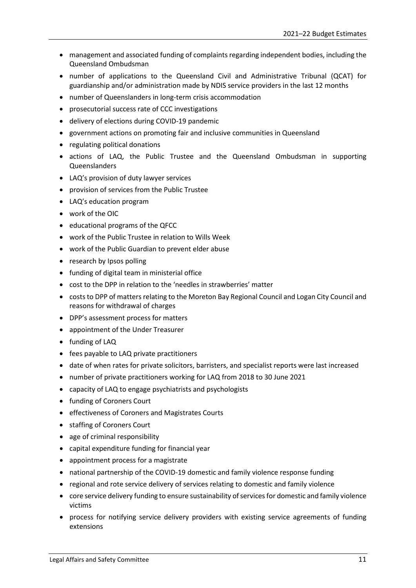- management and associated funding of complaints regarding independent bodies, including the Queensland Ombudsman
- number of applications to the Queensland Civil and Administrative Tribunal (QCAT) for guardianship and/or administration made by NDIS service providers in the last 12 months
- number of Queenslanders in long-term crisis accommodation
- prosecutorial success rate of CCC investigations
- delivery of elections during COVID-19 pandemic
- government actions on promoting fair and inclusive communities in Queensland
- regulating political donations
- actions of LAQ, the Public Trustee and the Queensland Ombudsman in supporting Queenslanders
- LAQ's provision of duty lawyer services
- provision of services from the Public Trustee
- LAQ's education program
- work of the OIC
- educational programs of the QFCC
- work of the Public Trustee in relation to Wills Week
- work of the Public Guardian to prevent elder abuse
- research by Ipsos polling
- funding of digital team in ministerial office
- cost to the DPP in relation to the 'needles in strawberries' matter
- costs to DPP of matters relating to the Moreton Bay Regional Council and Logan City Council and reasons for withdrawal of charges
- DPP's assessment process for matters
- appointment of the Under Treasurer
- funding of LAQ
- fees payable to LAQ private practitioners
- date of when rates for private solicitors, barristers, and specialist reports were last increased
- number of private practitioners working for LAQ from 2018 to 30 June 2021
- capacity of LAQ to engage psychiatrists and psychologists
- funding of Coroners Court
- effectiveness of Coroners and Magistrates Courts
- staffing of Coroners Court
- age of criminal responsibility
- capital expenditure funding for financial year
- appointment process for a magistrate
- national partnership of the COVID-19 domestic and family violence response funding
- regional and rote service delivery of services relating to domestic and family violence
- core service delivery funding to ensure sustainability of services for domestic and family violence victims
- process for notifying service delivery providers with existing service agreements of funding extensions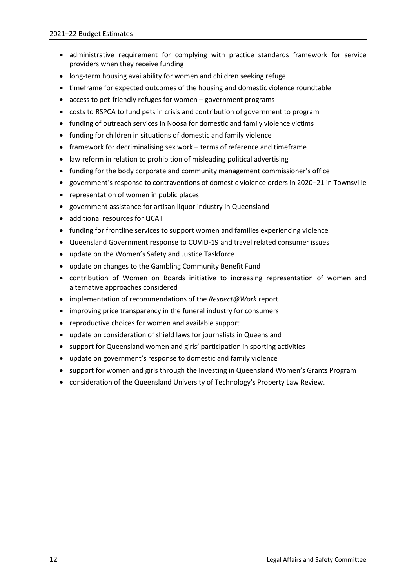- administrative requirement for complying with practice standards framework for service providers when they receive funding
- long-term housing availability for women and children seeking refuge
- timeframe for expected outcomes of the housing and domestic violence roundtable
- access to pet-friendly refuges for women government programs
- costs to RSPCA to fund pets in crisis and contribution of government to program
- funding of outreach services in Noosa for domestic and family violence victims
- funding for children in situations of domestic and family violence
- framework for decriminalising sex work terms of reference and timeframe
- law reform in relation to prohibition of misleading political advertising
- funding for the body corporate and community management commissioner's office
- government's response to contraventions of domestic violence orders in 2020–21 in Townsville
- representation of women in public places
- government assistance for artisan liquor industry in Queensland
- additional resources for QCAT
- funding for frontline services to support women and families experiencing violence
- Queensland Government response to COVID-19 and travel related consumer issues
- update on the Women's Safety and Justice Taskforce
- update on changes to the Gambling Community Benefit Fund
- contribution of Women on Boards initiative to increasing representation of women and alternative approaches considered
- implementation of recommendations of the *Respect@Work* report
- improving price transparency in the funeral industry for consumers
- reproductive choices for women and available support
- update on consideration of shield laws for journalists in Queensland
- support for Queensland women and girls' participation in sporting activities
- update on government's response to domestic and family violence
- support for women and girls through the Investing in Queensland Women's Grants Program
- consideration of the Queensland University of Technology's Property Law Review.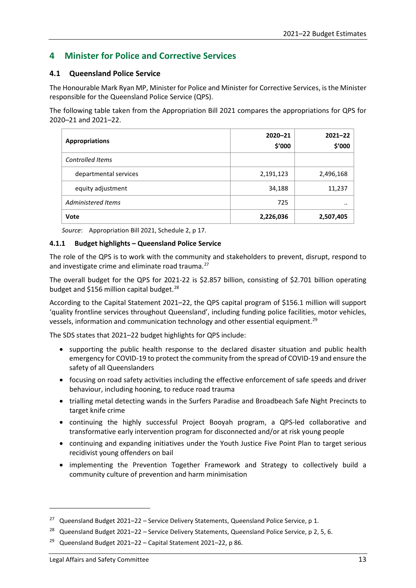### <span id="page-16-0"></span>**4 Minister for Police and Corrective Services**

### <span id="page-16-1"></span>**4.1 Queensland Police Service**

The Honourable Mark Ryan MP, Minister for Police and Minister for Corrective Services, is the Minister responsible for the Queensland Police Service (QPS).

The following table taken from the Appropriation Bill 2021 compares the appropriations for QPS for 2020–21 and 2021–22.

| <b>Appropriations</b>   | $2020 - 21$<br>\$'000 | $2021 - 22$<br>\$'000 |
|-------------------------|-----------------------|-----------------------|
| <b>Controlled Items</b> |                       |                       |
| departmental services   | 2,191,123             | 2,496,168             |
| equity adjustment       | 34,188                | 11,237                |
| Administered Items      | 725                   | $\cdot \cdot$         |
| Vote                    | 2,226,036             | 2,507,405             |

*Source*: Appropriation Bill 2021, Schedule 2, p 17.

#### <span id="page-16-2"></span>**4.1.1 Budget highlights – Queensland Police Service**

The role of the QPS is to work with the community and stakeholders to prevent, disrupt, respond to and investigate crime and eliminate road trauma.<sup>[27](#page-16-3)</sup>

The overall budget for the QPS for 2021-22 is \$2.857 billion, consisting of \$2.701 billion operating budget and \$156 million capital budget. $^{28}$  $^{28}$  $^{28}$ 

According to the Capital Statement 2021–22, the QPS capital program of \$156.1 million will support 'quality frontline services throughout Queensland', including funding police facilities, motor vehicles, vessels, information and communication technology and other essential equipment.[29](#page-16-5)

The SDS states that 2021–22 budget highlights for QPS include:

- supporting the public health response to the declared disaster situation and public health emergency for COVID-19 to protect the community from the spread of COVID-19 and ensure the safety of all Queenslanders
- focusing on road safety activities including the effective enforcement of safe speeds and driver behaviour, including hooning, to reduce road trauma
- trialling metal detecting wands in the Surfers Paradise and Broadbeach Safe Night Precincts to target knife crime
- continuing the highly successful Project Booyah program, a QPS-led collaborative and transformative early intervention program for disconnected and/or at risk young people
- continuing and expanding initiatives under the Youth Justice Five Point Plan to target serious recidivist young offenders on bail
- implementing the Prevention Together Framework and Strategy to collectively build a community culture of prevention and harm minimisation

<span id="page-16-3"></span><sup>&</sup>lt;sup>27</sup> Queensland Budget 2021–22 – Service Delivery Statements, Queensland Police Service, p 1.

<span id="page-16-4"></span><sup>&</sup>lt;sup>28</sup> Queensland Budget 2021–22 – Service Delivery Statements, Queensland Police Service, p 2, 5, 6.

<span id="page-16-5"></span><sup>&</sup>lt;sup>29</sup> Queensland Budget 2021–22 – Capital Statement 2021–22, p 86.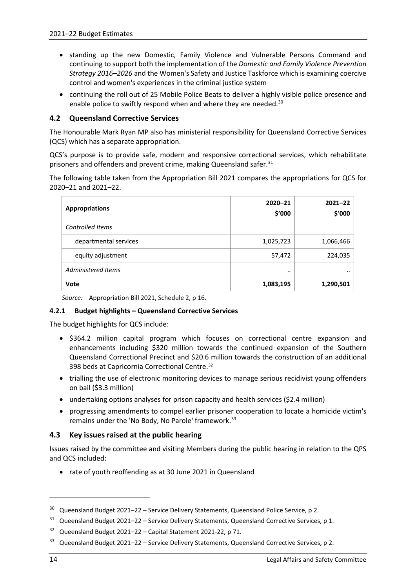- standing up the new Domestic, Family Violence and Vulnerable Persons Command and continuing to support both the implementation of the *Domestic and Family Violence Prevention Strategy 2016–2026* and the Women's Safety and Justice Taskforce which is examining coercive control and women's experiences in the criminal justice system
- continuing the roll out of 25 Mobile Police Beats to deliver a highly visible police presence and enable police to swiftly respond when and where they are needed.<sup>30</sup>

### <span id="page-17-0"></span>**4.2 Queensland Corrective Services**

The Honourable Mark Ryan MP also has ministerial responsibility for Queensland Corrective Services (QCS) which has a separate appropriation.

QCS's purpose is to provide safe, modern and responsive correctional services, which rehabilitate prisoners and offenders and prevent crime, making Queensland safer.<sup>[31](#page-17-4)</sup>

The following table taken from the Appropriation Bill 2021 compares the appropriations for QCS for 2020–21 and 2021–22.

| <b>Appropriations</b> | $2020 - 21$<br>\$'000 | $2021 - 22$<br>\$'000 |
|-----------------------|-----------------------|-----------------------|
| Controlled Items      |                       |                       |
| departmental services | 1,025,723             | 1,066,466             |
| equity adjustment     | 57,472                | 224,035               |
| Administered Items    | $\cdot \cdot$         | $\cdot \cdot$         |
| Vote                  | 1,083,195             | 1,290,501             |

*Source:* Appropriation Bill 2021, Schedule 2, p 16.

#### <span id="page-17-1"></span>**4.2.1 Budget highlights – Queensland Corrective Services**

The budget highlights for QCS include:

- \$364.2 million capital program which focuses on correctional centre expansion and enhancements including \$320 million towards the continued expansion of the Southern Queensland Correctional Precinct and \$20.6 million towards the construction of an additional 398 beds at Capricornia Correctional Centre.[32](#page-17-5)
- trialling the use of electronic monitoring devices to manage serious recidivist young offenders on bail (\$3.3 million)
- undertaking options analyses for prison capacity and health services (\$2.4 million)
- progressing amendments to compel earlier prisoner cooperation to locate a homicide victim's remains under the 'No Body, No Parole' framework.<sup>[33](#page-17-6)</sup>

### <span id="page-17-2"></span>**4.3 Key issues raised at the public hearing**

Issues raised by the committee and visiting Members during the public hearing in relation to the QPS and QCS included:

• rate of youth reoffending as at 30 June 2021 in Queensland

 $\overline{a}$ 

<span id="page-17-3"></span> $30$  Queensland Budget 2021–22 – Service Delivery Statements, Queensland Police Service, p 2.

<span id="page-17-4"></span> $31$  Queensland Budget 2021–22 – Service Delivery Statements, Queensland Corrective Services, p 1.

<span id="page-17-5"></span><sup>32</sup> Queensland Budget 2021–22 – Capital Statement 2021-22, p 71.

<span id="page-17-6"></span><sup>&</sup>lt;sup>33</sup> Queensland Budget 2021–22 – Service Delivery Statements, Queensland Corrective Services, p 2.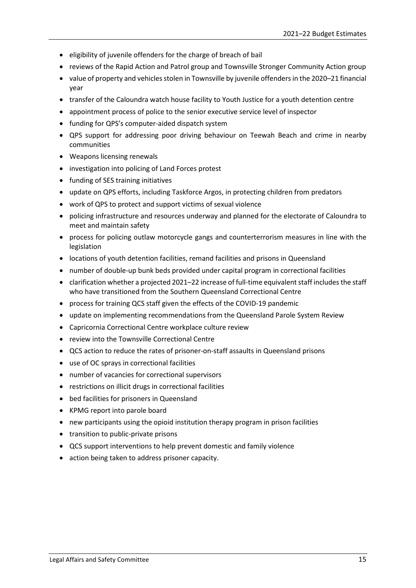- eligibility of juvenile offenders for the charge of breach of bail
- reviews of the Rapid Action and Patrol group and Townsville Stronger Community Action group
- value of property and vehicles stolen in Townsville by juvenile offenders in the 2020–21 financial year
- transfer of the Caloundra watch house facility to Youth Justice for a youth detention centre
- appointment process of police to the senior executive service level of inspector
- funding for QPS's computer-aided dispatch system
- QPS support for addressing poor driving behaviour on Teewah Beach and crime in nearby communities
- Weapons licensing renewals
- investigation into policing of Land Forces protest
- funding of SES training initiatives
- update on QPS efforts, including Taskforce Argos, in protecting children from predators
- work of QPS to protect and support victims of sexual violence
- policing infrastructure and resources underway and planned for the electorate of Caloundra to meet and maintain safety
- process for policing outlaw motorcycle gangs and counterterrorism measures in line with the legislation
- locations of youth detention facilities, remand facilities and prisons in Queensland
- number of double-up bunk beds provided under capital program in correctional facilities
- clarification whether a projected 2021–22 increase of full-time equivalent staff includes the staff who have transitioned from the Southern Queensland Correctional Centre
- process for training QCS staff given the effects of the COVID-19 pandemic
- update on implementing recommendations from the Queensland Parole System Review
- Capricornia Correctional Centre workplace culture review
- review into the Townsville Correctional Centre
- QCS action to reduce the rates of prisoner-on-staff assaults in Queensland prisons
- use of OC sprays in correctional facilities
- number of vacancies for correctional supervisors
- restrictions on illicit drugs in correctional facilities
- bed facilities for prisoners in Queensland
- KPMG report into parole board
- new participants using the opioid institution therapy program in prison facilities
- transition to public-private prisons
- QCS support interventions to help prevent domestic and family violence
- action being taken to address prisoner capacity.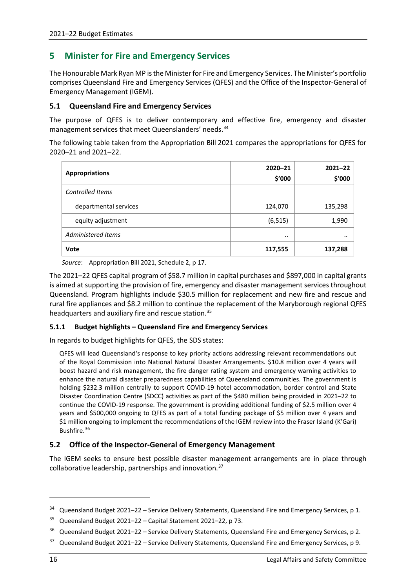### <span id="page-19-0"></span>**5 Minister for Fire and Emergency Services**

The Honourable Mark Ryan MP is the Minister for Fire and Emergency Services. The Minister's portfolio comprises Queensland Fire and Emergency Services (QFES) and the Office of the Inspector-General of Emergency Management (IGEM).

### <span id="page-19-1"></span>**5.1 Queensland Fire and Emergency Services**

The purpose of QFES is to deliver contemporary and effective fire, emergency and disaster management services that meet Queenslanders' needs.<sup>[34](#page-19-4)</sup>

The following table taken from the Appropriation Bill 2021 compares the appropriations for QFES for 2020–21 and 2021–22.

| <b>Appropriations</b> | $2020 - 21$<br>\$'000 | $2021 - 22$<br>\$'000 |
|-----------------------|-----------------------|-----------------------|
| Controlled Items      |                       |                       |
| departmental services | 124,070               | 135,298               |
| equity adjustment     | (6, 515)              | 1,990                 |
| Administered Items    |                       | $\cdot \cdot$         |
| Vote                  | 117,555               | 137,288               |

*Source*: Appropriation Bill 2021, Schedule 2, p 17.

The 2021–22 QFES capital program of \$58.7 million in capital purchases and \$897,000 in capital grants is aimed at supporting the provision of fire, emergency and disaster management services throughout Queensland. Program highlights include \$30.5 million for replacement and new fire and rescue and rural fire appliances and \$8.2 million to continue the replacement of the Maryborough regional QFES headquarters and auxiliary fire and rescue station.<sup>[35](#page-19-5)</sup>

### <span id="page-19-2"></span>**5.1.1 Budget highlights – Queensland Fire and Emergency Services**

In regards to budget highlights for QFES, the SDS states:

QFES will lead Queensland's response to key priority actions addressing relevant recommendations out of the Royal Commission into National Natural Disaster Arrangements. \$10.8 million over 4 years will boost hazard and risk management, the fire danger rating system and emergency warning activities to enhance the natural disaster preparedness capabilities of Queensland communities. The government is holding \$232.3 million centrally to support COVID-19 hotel accommodation, border control and State Disaster Coordination Centre (SDCC) activities as part of the \$480 million being provided in 2021–22 to continue the COVID-19 response. The government is providing additional funding of \$2.5 million over 4 years and \$500,000 ongoing to QFES as part of a total funding package of \$5 million over 4 years and \$1 million ongoing to implement the recommendations of the IGEM review into the Fraser Island (K'Gari) Bushfire.[36](#page-19-6)

### <span id="page-19-3"></span>**5.2 Office of the Inspector-General of Emergency Management**

The IGEM seeks to ensure best possible disaster management arrangements are in place through collaborative leadership, partnerships and innovation.[37](#page-19-7)

 $\overline{a}$ 

<span id="page-19-4"></span> $34$  Queensland Budget 2021–22 – Service Delivery Statements, Queensland Fire and Emergency Services, p 1.

<span id="page-19-5"></span><sup>35</sup> Queensland Budget 2021–22 – Capital Statement 2021–22, p 73.

<span id="page-19-6"></span><sup>&</sup>lt;sup>36</sup> Queensland Budget 2021–22 – Service Delivery Statements, Queensland Fire and Emergency Services, p 2.

<span id="page-19-7"></span> $37$  Queensland Budget 2021–22 – Service Delivery Statements, Queensland Fire and Emergency Services, p 9.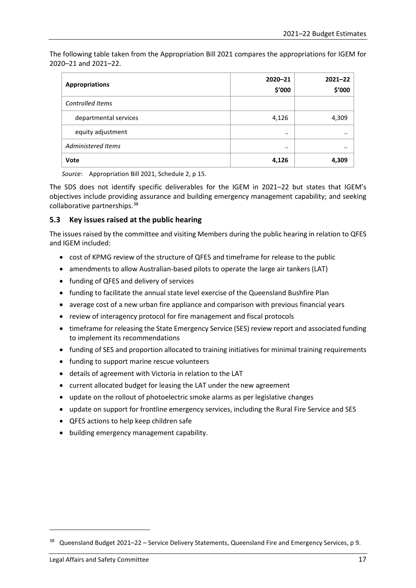The following table taken from the Appropriation Bill 2021 compares the appropriations for IGEM for 2020–21 and 2021–22.

| <b>Appropriations</b> | $2020 - 21$<br>\$'000 | $2021 - 22$<br>\$'000 |
|-----------------------|-----------------------|-----------------------|
| Controlled Items      |                       |                       |
| departmental services | 4,126                 | 4,309                 |
| equity adjustment     |                       |                       |
| Administered Items    | $\cdot \cdot$         | $\cdot \cdot$         |
| <b>Vote</b>           | 4,126                 | 4,309                 |

*Source*: Appropriation Bill 2021, Schedule 2, p 15.

The SDS does not identify specific deliverables for the IGEM in 2021–22 but states that IGEM's objectives include providing assurance and building emergency management capability; and seeking collaborative partnerships.[38](#page-20-1)

### <span id="page-20-0"></span>**5.3 Key issues raised at the public hearing**

The issues raised by the committee and visiting Members during the public hearing in relation to QFES and IGEM included:

- cost of KPMG review of the structure of QFES and timeframe for release to the public
- amendments to allow Australian-based pilots to operate the large air tankers (LAT)
- funding of QFES and delivery of services
- funding to facilitate the annual state level exercise of the Queensland Bushfire Plan
- average cost of a new urban fire appliance and comparison with previous financial years
- review of interagency protocol for fire management and fiscal protocols
- timeframe for releasing the State Emergency Service (SES) review report and associated funding to implement its recommendations
- funding of SES and proportion allocated to training initiatives for minimal training requirements
- funding to support marine rescue volunteers
- details of agreement with Victoria in relation to the LAT
- current allocated budget for leasing the LAT under the new agreement
- update on the rollout of photoelectric smoke alarms as per legislative changes
- update on support for frontline emergency services, including the Rural Fire Service and SES
- QFES actions to help keep children safe
- building emergency management capability.

<span id="page-20-1"></span><sup>38</sup> Queensland Budget 2021–22 – Service Delivery Statements, Queensland Fire and Emergency Services, p 9.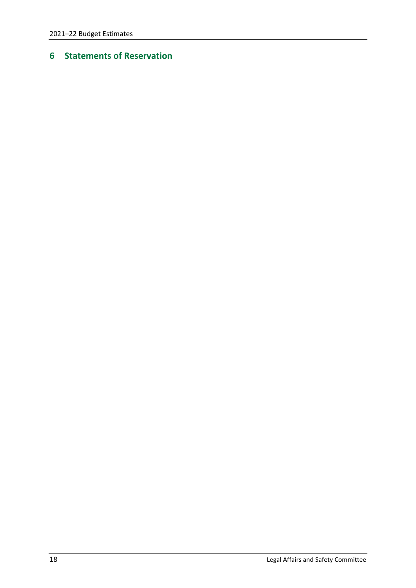## <span id="page-21-0"></span>**Statements of Reservation**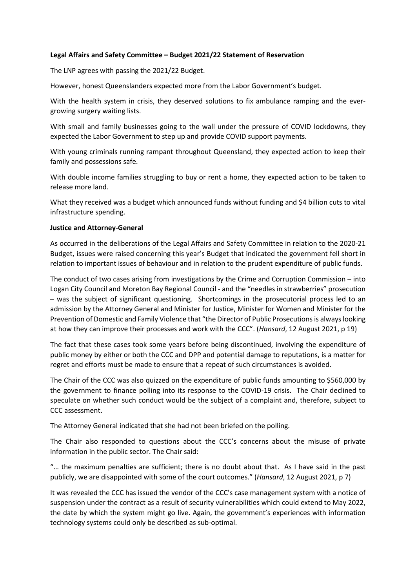#### **Legal Affairs and Safety Committee – Budget 2021/22 Statement of Reservation**

The LNP agrees with passing the 2021/22 Budget.

However, honest Queenslanders expected more from the Labor Government's budget.

With the health system in crisis, they deserved solutions to fix ambulance ramping and the evergrowing surgery waiting lists.

With small and family businesses going to the wall under the pressure of COVID lockdowns, they expected the Labor Government to step up and provide COVID support payments.

With young criminals running rampant throughout Queensland, they expected action to keep their family and possessions safe.

With double income families struggling to buy or rent a home, they expected action to be taken to release more land.

What they received was a budget which announced funds without funding and \$4 billion cuts to vital infrastructure spending.

#### **Justice and Attorney-General**

As occurred in the deliberations of the Legal Affairs and Safety Committee in relation to the 2020-21 Budget, issues were raised concerning this year's Budget that indicated the government fell short in relation to important issues of behaviour and in relation to the prudent expenditure of public funds.

The conduct of two cases arising from investigations by the Crime and Corruption Commission – into Logan City Council and Moreton Bay Regional Council - and the "needles in strawberries" prosecution – was the subject of significant questioning. Shortcomings in the prosecutorial process led to an admission by the Attorney General and Minister for Justice, Minister for Women and Minister for the Prevention of Domestic and Family Violence that "the Director of Public Prosecutions is always looking at how they can improve their processes and work with the CCC". (*Hansard*, 12 August 2021, p 19)

The fact that these cases took some years before being discontinued, involving the expenditure of public money by either or both the CCC and DPP and potential damage to reputations, is a matter for regret and efforts must be made to ensure that a repeat of such circumstances is avoided.

The Chair of the CCC was also quizzed on the expenditure of public funds amounting to \$560,000 by the government to finance polling into its response to the COVID-19 crisis. The Chair declined to speculate on whether such conduct would be the subject of a complaint and, therefore, subject to CCC assessment.

The Attorney General indicated that she had not been briefed on the polling.

The Chair also responded to questions about the CCC's concerns about the misuse of private information in the public sector. The Chair said:

"… the maximum penalties are sufficient; there is no doubt about that. As I have said in the past publicly, we are disappointed with some of the court outcomes." (*Hansard*, 12 August 2021, p 7)

It was revealed the CCC has issued the vendor of the CCC's case management system with a notice of suspension under the contract as a result of security vulnerabilities which could extend to May 2022, the date by which the system might go live. Again, the government's experiences with information technology systems could only be described as sub-optimal.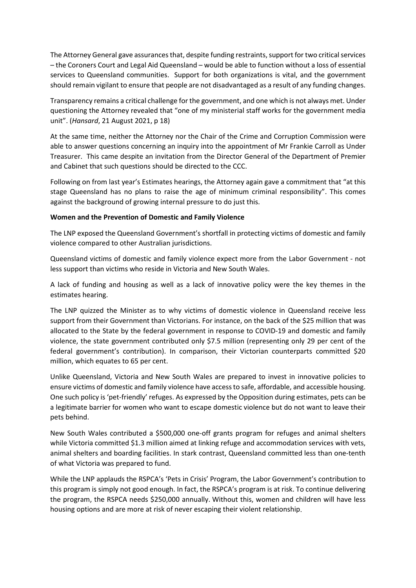The Attorney General gave assurances that, despite funding restraints, support for two critical services – the Coroners Court and Legal Aid Queensland – would be able to function without a loss of essential services to Queensland communities. Support for both organizations is vital, and the government should remain vigilant to ensure that people are not disadvantaged as a result of any funding changes.

Transparency remains a critical challenge for the government, and one which is not always met. Under questioning the Attorney revealed that "one of my ministerial staff works for the government media unit". (*Hansard*, 21 August 2021, p 18)

At the same time, neither the Attorney nor the Chair of the Crime and Corruption Commission were able to answer questions concerning an inquiry into the appointment of Mr Frankie Carroll as Under Treasurer. This came despite an invitation from the Director General of the Department of Premier and Cabinet that such questions should be directed to the CCC.

Following on from last year's Estimates hearings, the Attorney again gave a commitment that "at this stage Queensland has no plans to raise the age of minimum criminal responsibility". This comes against the background of growing internal pressure to do just this.

#### **Women and the Prevention of Domestic and Family Violence**

The LNP exposed the Queensland Government's shortfall in protecting victims of domestic and family violence compared to other Australian jurisdictions.

Queensland victims of domestic and family violence expect more from the Labor Government - not less support than victims who reside in Victoria and New South Wales.

A lack of funding and housing as well as a lack of innovative policy were the key themes in the estimates hearing.

The LNP quizzed the Minister as to why victims of domestic violence in Queensland receive less support from their Government than Victorians. For instance, on the back of the \$25 million that was allocated to the State by the federal government in response to COVID-19 and domestic and family violence, the state government contributed only \$7.5 million (representing only 29 per cent of the federal government's contribution). In comparison, their Victorian counterparts committed \$20 million, which equates to 65 per cent.

Unlike Queensland, Victoria and New South Wales are prepared to invest in innovative policies to ensure victims of domestic and family violence have access to safe, affordable, and accessible housing. One such policy is 'pet-friendly' refuges. As expressed by the Opposition during estimates, pets can be a legitimate barrier for women who want to escape domestic violence but do not want to leave their pets behind.

New South Wales contributed a \$500,000 one-off grants program for refuges and animal shelters while Victoria committed \$1.3 million aimed at linking refuge and accommodation services with vets, animal shelters and boarding facilities. In stark contrast, Queensland committed less than one-tenth of what Victoria was prepared to fund.

While the LNP applauds the RSPCA's 'Pets in Crisis' Program, the Labor Government's contribution to this program is simply not good enough. In fact, the RSPCA's program is at risk. To continue delivering the program, the RSPCA needs \$250,000 annually. Without this, women and children will have less housing options and are more at risk of never escaping their violent relationship.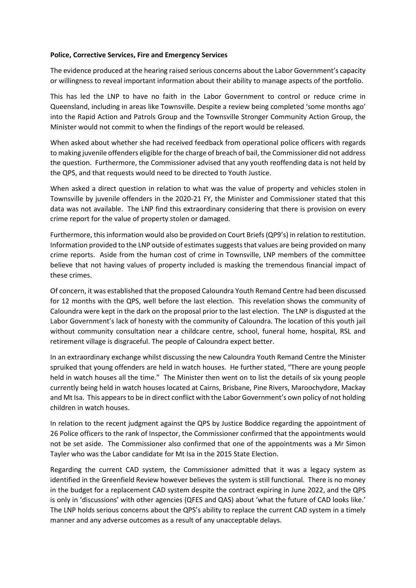#### **Police, Corrective Services, Fire and Emergency Services**

The evidence produced at the hearing raised serious concerns about the Labor Government's capacity or willingness to reveal important information about their ability to manage aspects of the portfolio.

This has led the LNP to have no faith in the Labor Government to control or reduce crime in Queensland, including in areas like Townsville. Despite a review being completed 'some months ago' into the Rapid Action and Patrols Group and the Townsville Stronger Community Action Group, the Minister would not commit to when the findings of the report would be released.

When asked about whether she had received feedback from operational police officers with regards to making juvenile offenders eligible for the charge of breach of bail, the Commissioner did not address the question. Furthermore, the Commissioner advised that any youth reoffending data is not held by the QPS, and that requests would need to be directed to Youth Justice.

When asked a direct question in relation to what was the value of property and vehicles stolen in Townsville by juvenile offenders in the 2020-21 FY, the Minister and Commissioner stated that this data was not available. The LNP find this extraordinary considering that there is provision on every crime report for the value of property stolen or damaged.

Furthermore, this information would also be provided on Court Briefs (QP9's) in relation to restitution. Information provided to the LNP outside of estimates suggests that values are being provided on many crime reports. Aside from the human cost of crime in Townsville, LNP members of the committee believe that not having values of property included is masking the tremendous financial impact of these crimes.

Of concern, it was established that the proposed Caloundra Youth Remand Centre had been discussed for 12 months with the QPS, well before the last election. This revelation shows the community of Caloundra were kept in the dark on the proposal prior to the last election. The LNP is disgusted at the Labor Government's lack of honesty with the community of Caloundra. The location of this youth jail without community consultation near a childcare centre, school, funeral home, hospital, RSL and retirement village is disgraceful. The people of Caloundra expect better.

In an extraordinary exchange whilst discussing the new Caloundra Youth Remand Centre the Minister spruiked that young offenders are held in watch houses. He further stated, "There are young people held in watch houses all the time." The Minister then went on to list the details of six young people currently being held in watch houses located at Cairns, Brisbane, Pine Rivers, Maroochydore, Mackay and Mt Isa. This appears to be in direct conflict with the Labor Government's own policy of not holding children in watch houses.

In relation to the recent judgment against the QPS by Justice Boddice regarding the appointment of 26 Police officers to the rank of Inspector, the Commissioner confirmed that the appointments would not be set aside. The Commissioner also confirmed that one of the appointments was a Mr Simon Tayler who was the Labor candidate for Mt Isa in the 2015 State Election.

Regarding the current CAD system, the Commissioner admitted that it was a legacy system as identified in the Greenfield Review however believes the system is still functional. There is no money in the budget for a replacement CAD system despite the contract expiring in June 2022, and the QPS is only in 'discussions' with other agencies (QFES and QAS) about 'what the future of CAD looks like.' The LNP holds serious concerns about the QPS's ability to replace the current CAD system in a timely manner and any adverse outcomes as a result of any unacceptable delays.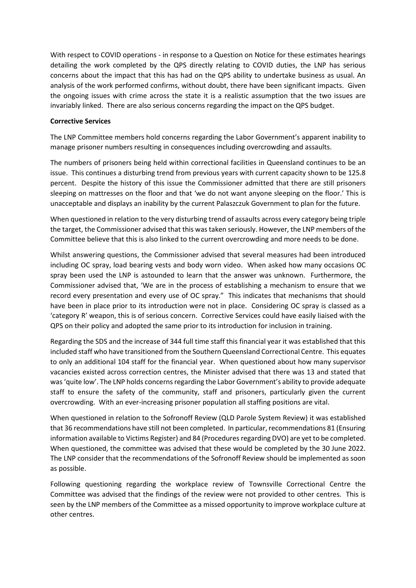With respect to COVID operations - in response to a Question on Notice for these estimates hearings detailing the work completed by the QPS directly relating to COVID duties, the LNP has serious concerns about the impact that this has had on the QPS ability to undertake business as usual. An analysis of the work performed confirms, without doubt, there have been significant impacts. Given the ongoing issues with crime across the state it is a realistic assumption that the two issues are invariably linked. There are also serious concerns regarding the impact on the QPS budget.

### **Corrective Services**

The LNP Committee members hold concerns regarding the Labor Government's apparent inability to manage prisoner numbers resulting in consequences including overcrowding and assaults.

The numbers of prisoners being held within correctional facilities in Queensland continues to be an issue. This continues a disturbing trend from previous years with current capacity shown to be 125.8 percent. Despite the history of this issue the Commissioner admitted that there are still prisoners sleeping on mattresses on the floor and that 'we do not want anyone sleeping on the floor.' This is unacceptable and displays an inability by the current Palaszczuk Government to plan for the future.

When questioned in relation to the very disturbing trend of assaults across every category being triple the target, the Commissioner advised that this was taken seriously. However, the LNP members of the Committee believe that this is also linked to the current overcrowding and more needs to be done.

Whilst answering questions, the Commissioner advised that several measures had been introduced including OC spray, load bearing vests and body worn video. When asked how many occasions OC spray been used the LNP is astounded to learn that the answer was unknown. Furthermore, the Commissioner advised that, 'We are in the process of establishing a mechanism to ensure that we record every presentation and every use of OC spray." This indicates that mechanisms that should have been in place prior to its introduction were not in place. Considering OC spray is classed as a 'category R' weapon, this is of serious concern. Corrective Services could have easily liaised with the QPS on their policy and adopted the same prior to its introduction for inclusion in training.

Regarding the SDS and the increase of 344 full time staff this financial year it was established that this included staff who have transitioned from the Southern Queensland Correctional Centre. This equates to only an additional 104 staff for the financial year. When questioned about how many supervisor vacancies existed across correction centres, the Minister advised that there was 13 and stated that was 'quite low'. The LNP holds concerns regarding the Labor Government's ability to provide adequate staff to ensure the safety of the community, staff and prisoners, particularly given the current overcrowding. With an ever-increasing prisoner population all staffing positions are vital.

When questioned in relation to the Sofronoff Review (QLD Parole System Review) it was established that 36 recommendations have still not been completed. In particular, recommendations 81 (Ensuring information available to Victims Register) and 84 (Procedures regarding DVO) are yet to be completed. When questioned, the committee was advised that these would be completed by the 30 June 2022. The LNP consider that the recommendations of the Sofronoff Review should be implemented as soon as possible.

Following questioning regarding the workplace review of Townsville Correctional Centre the Committee was advised that the findings of the review were not provided to other centres. This is seen by the LNP members of the Committee as a missed opportunity to improve workplace culture at other centres.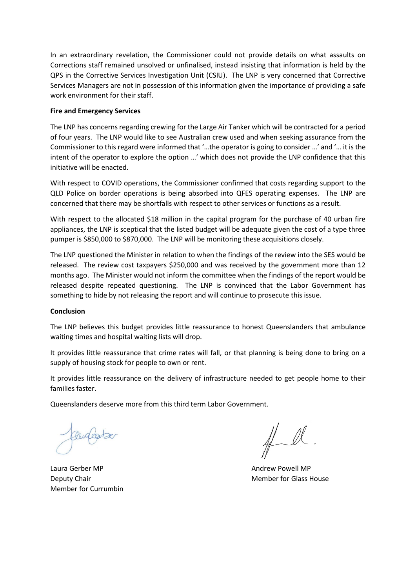In an extraordinary revelation, the Commissioner could not provide details on what assaults on Corrections staff remained unsolved or unfinalised, instead insisting that information is held by the QPS in the Corrective Services Investigation Unit (CSIU). The LNP is very concerned that Corrective Services Managers are not in possession of this information given the importance of providing a safe work environment for their staff.

#### **Fire and Emergency Services**

The LNP has concerns regarding crewing for the Large Air Tanker which will be contracted for a period of four years. The LNP would like to see Australian crew used and when seeking assurance from the Commissioner to this regard were informed that '…the operator is going to consider …' and '… it is the intent of the operator to explore the option …' which does not provide the LNP confidence that this initiative will be enacted.

With respect to COVID operations, the Commissioner confirmed that costs regarding support to the QLD Police on border operations is being absorbed into QFES operating expenses. The LNP are concerned that there may be shortfalls with respect to other services or functions as a result.

With respect to the allocated \$18 million in the capital program for the purchase of 40 urban fire appliances, the LNP is sceptical that the listed budget will be adequate given the cost of a type three pumper is \$850,000 to \$870,000. The LNP will be monitoring these acquisitions closely.

The LNP questioned the Minister in relation to when the findings of the review into the SES would be released. The review cost taxpayers \$250,000 and was received by the government more than 12 months ago. The Minister would not inform the committee when the findings of the report would be released despite repeated questioning. The LNP is convinced that the Labor Government has something to hide by not releasing the report and will continue to prosecute this issue.

#### **Conclusion**

The LNP believes this budget provides little reassurance to honest Queenslanders that ambulance waiting times and hospital waiting lists will drop.

It provides little reassurance that crime rates will fall, or that planning is being done to bring on a supply of housing stock for people to own or rent.

It provides little reassurance on the delivery of infrastructure needed to get people home to their families faster.

Queenslanders deserve more from this third term Labor Government.

Laura Gerber MP **Andrew Powell MP Andrew Powell MP** Member for Currumbin

 $\#$ 

**Deputy Chair Member for Glass House Inc.** Member for Glass House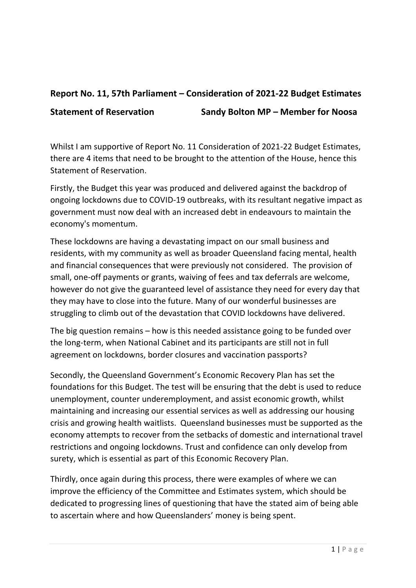### **Report No. 11, 57th Parliament – Consideration of 2021-22 Budget Estimates**

**Statement of Reservation Sandy Bolton MP – Member for Noosa** 

Whilst I am supportive of Report No. 11 Consideration of 2021-22 Budget Estimates, there are 4 items that need to be brought to the attention of the House, hence this Statement of Reservation.

Firstly, the Budget this year was produced and delivered against the backdrop of ongoing lockdowns due to COVID-19 outbreaks, with its resultant negative impact as government must now deal with an increased debt in endeavours to maintain the economy's momentum.

These lockdowns are having a devastating impact on our small business and residents, with my community as well as broader Queensland facing mental, health and financial consequences that were previously not considered. The provision of small, one-off payments or grants, waiving of fees and tax deferrals are welcome, however do not give the guaranteed level of assistance they need for every day that they may have to close into the future. Many of our wonderful businesses are struggling to climb out of the devastation that COVID lockdowns have delivered.

The big question remains – how is this needed assistance going to be funded over the long-term, when National Cabinet and its participants are still not in full agreement on lockdowns, border closures and vaccination passports?

Secondly, the Queensland Government's Economic Recovery Plan has set the foundations for this Budget. The test will be ensuring that the debt is used to reduce unemployment, counter underemployment, and assist economic growth, whilst maintaining and increasing our essential services as well as addressing our housing crisis and growing health waitlists. Queensland businesses must be supported as the economy attempts to recover from the setbacks of domestic and international travel restrictions and ongoing lockdowns. Trust and confidence can only develop from surety, which is essential as part of this Economic Recovery Plan.

Thirdly, once again during this process, there were examples of where we can improve the efficiency of the Committee and Estimates system, which should be dedicated to progressing lines of questioning that have the stated aim of being able to ascertain where and how Queenslanders' money is being spent.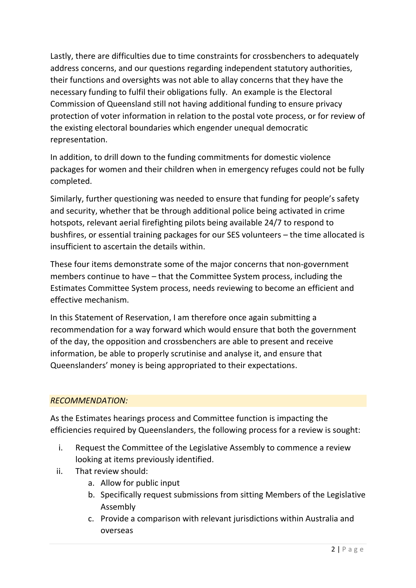Lastly, there are difficulties due to time constraints for crossbenchers to adequately address concerns, and our questions regarding independent statutory authorities, their functions and oversights was not able to allay concerns that they have the necessary funding to fulfil their obligations fully. An example is the Electoral Commission of Queensland still not having additional funding to ensure privacy protection of voter information in relation to the postal vote process, or for review of the existing electoral boundaries which engender unequal democratic representation.

In addition, to drill down to the funding commitments for domestic violence packages for women and their children when in emergency refuges could not be fully completed.

Similarly, further questioning was needed to ensure that funding for people's safety and security, whether that be through additional police being activated in crime hotspots, relevant aerial firefighting pilots being available 24/7 to respond to bushfires, or essential training packages for our SES volunteers – the time allocated is insufficient to ascertain the details within.

These four items demonstrate some of the major concerns that non-government members continue to have – that the Committee System process, including the Estimates Committee System process, needs reviewing to become an efficient and effective mechanism.

In this Statement of Reservation, I am therefore once again submitting a recommendation for a way forward which would ensure that both the government of the day, the opposition and crossbenchers are able to present and receive information, be able to properly scrutinise and analyse it, and ensure that Queenslanders' money is being appropriated to their expectations.

### *RECOMMENDATION:*

As the Estimates hearings process and Committee function is impacting the efficiencies required by Queenslanders, the following process for a review is sought:

- i. Request the Committee of the Legislative Assembly to commence a review looking at items previously identified.
- ii. That review should:
	- a. Allow for public input
	- b. Specifically request submissions from sitting Members of the Legislative Assembly
	- c. Provide a comparison with relevant jurisdictions within Australia and overseas